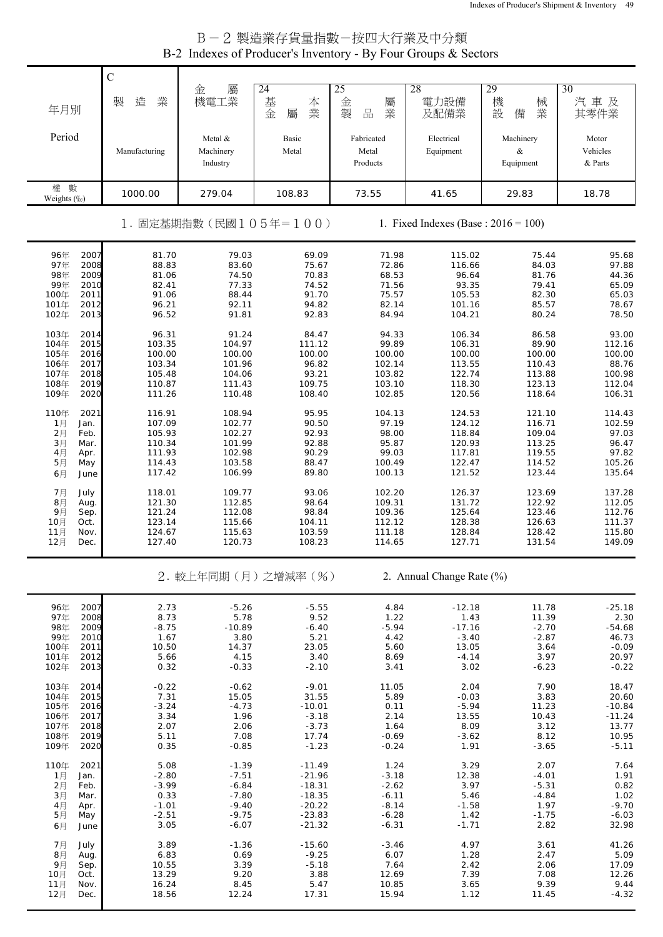| B-2 製造業存貨量指數-按四大行業及中分類                                         |
|----------------------------------------------------------------|
| B-2 Indexes of Producer's Inventory - By Four Groups & Sectors |

|                              | $\mathbf C$      |                        |                         |                             |                                         |                             |                   |
|------------------------------|------------------|------------------------|-------------------------|-----------------------------|-----------------------------------------|-----------------------------|-------------------|
| 年月別                          | 造<br>業<br>製      | 屬<br>金<br>機電工業         | 24<br>基<br>本業<br>金<br>屬 | 25<br>金<br>屬<br>製<br>業<br>品 | 28<br>電力設備<br>及配備業                      | 29<br>機<br>械<br>業<br>設<br>備 | 30<br>汽車及<br>其零件業 |
| Period                       |                  | Metal &                | Basic                   | Fabricated                  | Electrical                              | Machinery                   | Motor             |
|                              | Manufacturing    | Machinery              | Metal                   | Metal                       | Equipment                               | &                           | Vehicles          |
|                              |                  | Industry               |                         | Products                    |                                         | Equipment                   | & Parts           |
| 權 數<br>Weights (%)           | 1000.00          | 279.04                 | 108.83                  | 73.55                       | 41.65                                   | 29.83                       | 18.78             |
|                              |                  | 1. 固定基期指數 (民國105年=100) |                         |                             | 1. Fixed Indexes (Base : $2016 = 100$ ) |                             |                   |
| 96年<br>2007                  | 81.70            | 79.03                  | 69.09                   | 71.98                       | 115.02                                  | 75.44                       | 95.68             |
| 97年<br>2008<br>98年<br>2009   | 88.83<br>81.06   | 83.60<br>74.50         | 75.67<br>70.83          | 72.86<br>68.53              | 116.66<br>96.64                         | 84.03<br>81.76              | 97.88<br>44.36    |
| 99年<br>2010                  | 82.41            | 77.33                  | 74.52                   | 71.56                       | 93.35                                   | 79.41                       | 65.09             |
| 100年<br>2011<br>101年<br>2012 | 91.06<br>96.21   | 88.44<br>92.11         | 91.70<br>94.82          | 75.57<br>82.14              | 105.53<br>101.16                        | 82.30<br>85.57              | 65.03<br>78.67    |
| 102年<br>2013                 | 96.52            | 91.81                  | 92.83                   | 84.94                       | 104.21                                  | 80.24                       | 78.50             |
| 103年<br>2014                 | 96.31            | 91.24                  | 84.47                   | 94.33                       | 106.34                                  | 86.58                       | 93.00             |
| 104年<br>2015<br>105年<br>2016 | 103.35<br>100.00 | 104.97<br>100.00       | 111.12<br>100.00        | 99.89<br>100.00             | 106.31<br>100.00                        | 89.90<br>100.00             | 112.16<br>100.00  |
| 106年<br>2017                 | 103.34           | 101.96                 | 96.82                   | 102.14                      | 113.55                                  | 110.43                      | 88.76             |
| 107年<br>2018                 | 105.48           | 104.06                 | 93.21                   | 103.82<br>103.10            | 122.74                                  | 113.88                      | 100.98            |
| 108年<br>2019<br>109年<br>2020 | 110.87<br>111.26 | 111.43<br>110.48       | 109.75<br>108.40        | 102.85                      | 118.30<br>120.56                        | 123.13<br>118.64            | 112.04<br>106.31  |
| 110年<br>2021                 | 116.91           | 108.94                 | 95.95                   | 104.13                      | 124.53                                  | 121.10                      | 114.43            |
| 1月<br>Jan.                   | 107.09           | 102.77                 | 90.50                   | 97.19                       | 124.12                                  | 116.71                      | 102.59            |
| 2月<br>Feb.<br>3月<br>Mar.     | 105.93<br>110.34 | 102.27<br>101.99       | 92.93<br>92.88          | 98.00<br>95.87              | 118.84<br>120.93                        | 109.04<br>113.25            | 97.03<br>96.47    |
| 4月<br>Apr.                   | 111.93           | 102.98                 | 90.29                   | 99.03                       | 117.81                                  | 119.55                      | 97.82             |
| 5月<br>May<br>6月<br>June      | 114.43<br>117.42 | 103.58<br>106.99       | 88.47<br>89.80          | 100.49<br>100.13            | 122.47<br>121.52                        | 114.52<br>123.44            | 105.26<br>135.64  |
| 7月<br>July                   | 118.01           | 109.77                 | 93.06                   | 102.20                      | 126.37                                  | 123.69                      | 137.28            |
| 8月<br>Aug.                   | 121.30           | 112.85                 | 98.64                   | 109.31                      | 131.72                                  | 122.92                      | 112.05            |
| 9月<br>Sep.<br>10月<br>Oct.    | 121.24<br>123.14 | 112.08<br>115.66       | 98.84<br>104.11         | 109.36<br>112.12            | 125.64<br>128.38                        | 123.46<br>126.63            | 112.76<br>111.37  |
| 11月<br>Nov.                  | 124.67           | 115.63                 | 103.59                  | 111.18                      | 128.84                                  | 128.42                      | 115.80<br>149.09  |
| 12月<br>Dec.                  | 127.40           | 120.73                 | 108.23                  | 114.65                      | 127.71                                  | 131.54                      |                   |
|                              |                  |                        | 2. 較上年同期(月)之增減率(%)      |                             | 2. Annual Change Rate (%)               |                             |                   |
|                              |                  |                        |                         |                             |                                         |                             |                   |
| 96年<br>2007                  | 2.73             | $-5.26$                | $-5.55$                 | 4.84                        | $-12.18$                                | 11.78                       | $-25.18$          |
| 97年<br>2008                  | 8.73             | 5.78                   | 9.52                    | 1.22                        | 1.43                                    | 11.39                       | 2.30              |
| 98年<br>2009<br>99年<br>2010   | $-8.75$<br>1.67  | -10.89                 | $-6.40$                 | $-5.94$<br>4.42             | $-17.16$<br>$-3.40$                     | $-2.70$<br>$-2.87$          | $-54.68$<br>46.73 |
| 100年<br>2011                 | 10.50            | 3.80<br>14.37          | 5.21<br>23.05           | 5.60                        | 13.05                                   | 3.64                        | $-0.09$           |
| 101年<br>2012<br>102年<br>2013 | 5.66<br>0.32     | 4.15<br>$-0.33$        | 3.40<br>$-2.10$         | 8.69<br>3.41                | $-4.14$<br>3.02                         | 3.97<br>$-6.23$             | 20.97<br>$-0.22$  |
|                              |                  |                        |                         |                             |                                         |                             |                   |
| 103年<br>2014<br>104年<br>2015 | $-0.22$<br>7.31  | $-0.62$<br>15.05       | $-9.01$<br>31.55        | 11.05<br>5.89               | 2.04<br>$-0.03$                         | 7.90<br>3.83                | 18.47<br>20.60    |
| 105年<br>2016                 | $-3.24$          | $-4.73$                | $-10.01$                | 0.11                        | $-5.94$                                 | 11.23                       | $-10.84$          |
| 106年<br>2017<br>107年<br>2018 | 3.34<br>2.07     | 1.96<br>2.06           | $-3.18$<br>$-3.73$      | 2.14<br>1.64                | 13.55<br>8.09                           | 10.43<br>3.12               | $-11.24$<br>13.77 |
| 108年<br>2019                 | 5.11             | 7.08                   | 17.74                   | $-0.69$                     | $-3.62$                                 | 8.12                        | 10.95             |
| 109年<br>2020                 | 0.35             | $-0.85$                | $-1.23$                 | $-0.24$                     | 1.91                                    | $-3.65$                     | $-5.11$           |
| 110年<br>2021<br>1月<br>Jan.   | 5.08<br>$-2.80$  | $-1.39$<br>$-7.51$     | $-11.49$<br>$-21.96$    | 1.24<br>$-3.18$             | 3.29<br>12.38                           | 2.07<br>$-4.01$             | 7.64<br>1.91      |
| 2月<br>Feb.                   | $-3.99$          | $-6.84$                | $-18.31$                | $-2.62$                     | 3.97                                    | $-5.31$                     | 0.82              |
| 3月<br>Mar.<br>4月<br>Apr.     | 0.33<br>$-1.01$  | $-7.80$<br>$-9.40$     | $-18.35$<br>$-20.22$    | $-6.11$<br>$-8.14$          | 5.46<br>$-1.58$                         | $-4.84$<br>1.97             | 1.02<br>$-9.70$   |
| 5月<br>May                    | $-2.51$          | $-9.75$                | $-23.83$                | $-6.28$                     | 1.42                                    | $-1.75$                     | $-6.03$           |
| 6月<br>June                   | 3.05             | $-6.07$                | $-21.32$                | $-6.31$                     | $-1.71$                                 | 2.82                        | 32.98             |
| 7月<br>July                   | 3.89             | $-1.36$                | $-15.60$                | $-3.46$                     | 4.97                                    | 3.61                        | 41.26             |
| 8月<br>Aug.<br>9月<br>Sep.     | 6.83<br>10.55    | 0.69<br>3.39           | $-9.25$<br>$-5.18$      | 6.07<br>7.64                | 1.28<br>2.42                            | 2.47<br>2.06                | 5.09<br>17.09     |
| 10月<br>Oct.                  | 13.29            | 9.20                   | 3.88                    | 12.69                       | 7.39                                    | 7.08                        | 12.26             |
| 11月<br>Nov.<br>12月<br>Dec.   | 16.24<br>18.56   | 8.45<br>12.24          | 5.47<br>17.31           | 10.85<br>15.94              | 3.65<br>1.12                            | 9.39<br>11.45               | 9.44<br>$-4.32$   |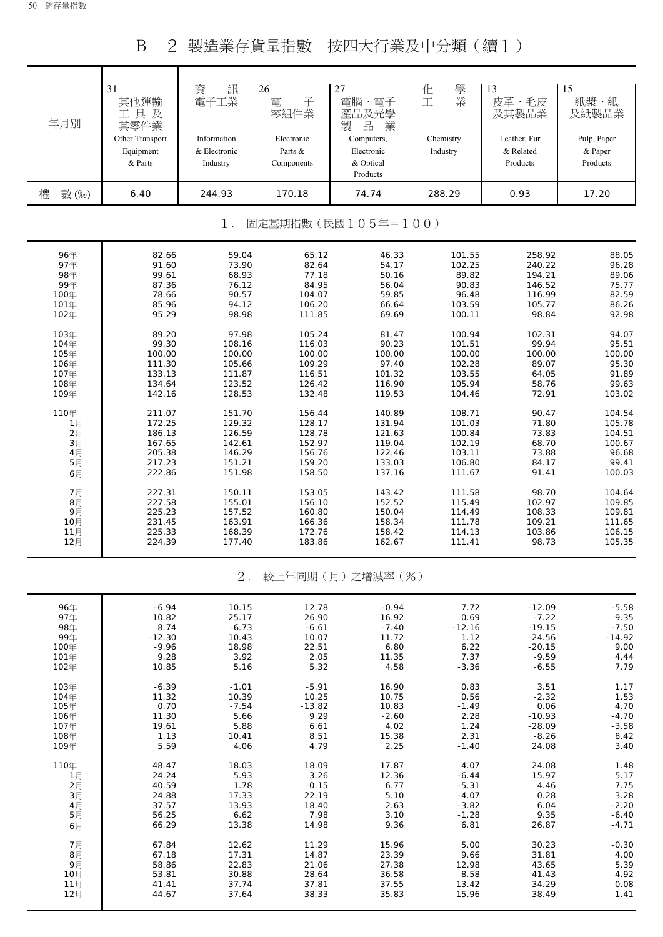B-2 製造業存貨量指數-按四大行業及中分類(續1)

| 年月別                         | $\overline{31}$<br>其他運輸<br>工具及<br>其零件業<br>Other Transport<br>Equipment<br>& Parts | 訊<br>資<br>電子工業<br>Information<br>& Electronic<br>Industry | 26<br>電<br>子<br>零組件業<br>Electronic<br>Parts &<br>Components | 27<br>電腦、電子<br>產品及光學<br>品<br>業<br>製<br>Computers,<br>Electronic<br>& Optical<br>Products | 學業<br>化工<br>Chemistry<br>Industry | 13<br>皮革、毛皮<br>及其製品業<br>Leather, Fur<br>& Related<br>Products | $\overline{15}$<br>紙漿、紙<br>及紙製品業<br>Pulp, Paper<br>& Paper<br>Products |  |  |  |
|-----------------------------|-----------------------------------------------------------------------------------|-----------------------------------------------------------|-------------------------------------------------------------|------------------------------------------------------------------------------------------|-----------------------------------|---------------------------------------------------------------|------------------------------------------------------------------------|--|--|--|
| 權<br>數 (%)                  | 6.40                                                                              | 244.93                                                    | 170.18                                                      | 74.74                                                                                    | 288.29                            | 0.93                                                          | 17.20                                                                  |  |  |  |
| 固定基期指數(民國105年=100)<br>$1$ . |                                                                                   |                                                           |                                                             |                                                                                          |                                   |                                                               |                                                                        |  |  |  |
| 96年                         | 82.66                                                                             | 59.04                                                     | 65.12                                                       | 46.33                                                                                    | 101.55                            | 258.92                                                        | 88.05                                                                  |  |  |  |
| 97年                         | 91.60                                                                             | 73.90                                                     | 82.64                                                       | 54.17                                                                                    | 102.25                            | 240.22                                                        | 96.28                                                                  |  |  |  |
| 98年                         | 99.61                                                                             | 68.93                                                     | 77.18                                                       | 50.16                                                                                    | 89.82                             | 194.21                                                        | 89.06                                                                  |  |  |  |
| 99年                         | 87.36                                                                             | 76.12                                                     | 84.95                                                       | 56.04                                                                                    | 90.83                             | 146.52                                                        | 75.77                                                                  |  |  |  |
| 100年                        | 78.66                                                                             | 90.57                                                     | 104.07                                                      | 59.85                                                                                    | 96.48                             | 116.99                                                        | 82.59                                                                  |  |  |  |
| 101年                        | 85.96                                                                             | 94.12                                                     | 106.20                                                      | 66.64                                                                                    | 103.59                            | 105.77                                                        | 86.26                                                                  |  |  |  |
| 102年                        | 95.29                                                                             | 98.98                                                     | 111.85                                                      | 69.69                                                                                    | 100.11                            | 98.84                                                         | 92.98                                                                  |  |  |  |
| 103年                        | 89.20                                                                             | 97.98                                                     | 105.24                                                      | 81.47                                                                                    | 100.94                            | 102.31                                                        | 94.07                                                                  |  |  |  |
| 104年                        | 99.30                                                                             | 108.16                                                    | 116.03                                                      | 90.23                                                                                    | 101.51                            | 99.94                                                         | 95.51                                                                  |  |  |  |
| 105年                        | 100.00                                                                            | 100.00                                                    | 100.00                                                      | 100.00                                                                                   | 100.00                            | 100.00                                                        | 100.00                                                                 |  |  |  |
| 106年                        | 111.30                                                                            | 105.66                                                    | 109.29                                                      | 97.40                                                                                    | 102.28                            | 89.07                                                         | 95.30                                                                  |  |  |  |
| 107年                        | 133.13                                                                            | 111.87                                                    | 116.51                                                      | 101.32                                                                                   | 103.55                            | 64.05                                                         | 91.89                                                                  |  |  |  |
| 108年                        | 134.64                                                                            | 123.52                                                    | 126.42                                                      | 116.90                                                                                   | 105.94                            | 58.76                                                         | 99.63                                                                  |  |  |  |
| 109年                        | 142.16                                                                            | 128.53                                                    | 132.48                                                      | 119.53                                                                                   | 104.46                            | 72.91                                                         | 103.02                                                                 |  |  |  |
| 110年                        | 211.07                                                                            | 151.70                                                    | 156.44                                                      | 140.89                                                                                   | 108.71                            | 90.47                                                         | 104.54                                                                 |  |  |  |
| 1月                          | 172.25                                                                            | 129.32                                                    | 128.17                                                      | 131.94                                                                                   | 101.03                            | 71.80                                                         | 105.78                                                                 |  |  |  |
| 2月                          | 186.13                                                                            | 126.59                                                    | 128.78                                                      | 121.63                                                                                   | 100.84                            | 73.83                                                         | 104.51                                                                 |  |  |  |
| 3月                          | 167.65                                                                            | 142.61                                                    | 152.97                                                      | 119.04                                                                                   | 102.19                            | 68.70                                                         | 100.67                                                                 |  |  |  |
| 4月                          | 205.38                                                                            | 146.29                                                    | 156.76                                                      | 122.46                                                                                   | 103.11                            | 73.88                                                         | 96.68                                                                  |  |  |  |
| 5月                          | 217.23                                                                            | 151.21                                                    | 159.20                                                      | 133.03                                                                                   | 106.80                            | 84.17                                                         | 99.41                                                                  |  |  |  |
| 6月                          | 222.86                                                                            | 151.98                                                    | 158.50                                                      | 137.16                                                                                   | 111.67                            | 91.41                                                         | 100.03                                                                 |  |  |  |
| 7月                          | 227.31                                                                            | 150.11                                                    | 153.05                                                      | 143.42                                                                                   | 111.58                            | 98.70                                                         | 104.64                                                                 |  |  |  |
| 8月                          | 227.58                                                                            | 155.01                                                    | 156.10                                                      | 152.52                                                                                   | 115.49                            | 102.97                                                        | 109.85                                                                 |  |  |  |
| 9月                          | 225.23                                                                            | 157.52                                                    | 160.80                                                      | 150.04                                                                                   | 114.49                            | 108.33                                                        | 109.81                                                                 |  |  |  |
| 10月                         | 231.45                                                                            | 163.91                                                    | 166.36                                                      | 158.34                                                                                   | 111.78                            | 109.21                                                        | 111.65                                                                 |  |  |  |
| 11月                         | 225.33                                                                            | 168.39                                                    | 172.76                                                      | 158.42                                                                                   | 114.13                            | 103.86                                                        | 106.15                                                                 |  |  |  |
| 12月                         | 224.39                                                                            | 177.40                                                    | 183.86                                                      | 162.67                                                                                   | 111.41                            | 98.73                                                         | 105.35                                                                 |  |  |  |
|                             |                                                                                   | $2$ .                                                     |                                                             | 較上年同期(月)之增減率(%)                                                                          |                                   |                                                               |                                                                        |  |  |  |
| 96年                         | $-6.94$                                                                           | 10.15                                                     | 12.78                                                       | $-0.94$                                                                                  | 7.72                              | $-12.09$                                                      | $-5.58$                                                                |  |  |  |
| 97年                         | 10.82                                                                             | 25.17                                                     | 26.90                                                       | 16.92                                                                                    | 0.69                              | $-7.22$                                                       | 9.35                                                                   |  |  |  |
| 98年                         | 8.74                                                                              | $-6.73$                                                   | $-6.61$                                                     | $-7.40$                                                                                  | $-12.16$                          | $-19.15$                                                      | $-7.50$                                                                |  |  |  |
| 99年                         | $-12.30$                                                                          | 10.43                                                     | 10.07                                                       | 11.72                                                                                    | 1.12                              | $-24.56$                                                      | $-14.92$                                                               |  |  |  |
| 100年                        | $-9.96$                                                                           | 18.98                                                     | 22.51                                                       | 6.80                                                                                     | 6.22                              | $-20.15$                                                      | 9.00                                                                   |  |  |  |
| 101年                        | 9.28                                                                              | 3.92                                                      | 2.05                                                        | 11.35                                                                                    | 7.37                              | $-9.59$                                                       | 4.44                                                                   |  |  |  |
| 102年                        | 10.85                                                                             | 5.16                                                      | 5.32                                                        | 4.58                                                                                     | $-3.36$                           | $-6.55$                                                       | 7.79                                                                   |  |  |  |
| 103年                        | $-6.39$                                                                           | $-1.01$                                                   | $-5.91$                                                     | 16.90                                                                                    | 0.83                              | 3.51                                                          | 1.17                                                                   |  |  |  |
| 104年                        | 11.32                                                                             | 10.39                                                     | 10.25                                                       | 10.75                                                                                    | 0.56                              | $-2.32$                                                       | 1.53                                                                   |  |  |  |
| 105年                        | 0.70                                                                              | $-7.54$                                                   | $-13.82$                                                    | 10.83                                                                                    | $-1.49$                           | 0.06                                                          | 4.70                                                                   |  |  |  |
| 106年                        | 11.30                                                                             | 5.66                                                      | 9.29                                                        | $-2.60$                                                                                  | 2.28                              | $-10.93$                                                      | $-4.70$                                                                |  |  |  |
| 107年                        | 19.61                                                                             | 5.88                                                      | 6.61                                                        | 4.02                                                                                     | 1.24                              | $-28.09$                                                      | $-3.58$                                                                |  |  |  |
| 108年                        | 1.13                                                                              | 10.41                                                     | 8.51                                                        | 15.38                                                                                    | 2.31                              | $-8.26$                                                       | 8.42                                                                   |  |  |  |
| 109年                        | 5.59                                                                              | 4.06                                                      | 4.79                                                        | 2.25                                                                                     | $-1.40$                           | 24.08                                                         | 3.40                                                                   |  |  |  |
| 110年                        | 48.47                                                                             | 18.03                                                     | 18.09                                                       | 17.87                                                                                    | 4.07                              | 24.08                                                         | 1.48                                                                   |  |  |  |
| 1月                          | 24.24                                                                             | 5.93                                                      | 3.26                                                        | 12.36                                                                                    | $-6.44$                           | 15.97                                                         | 5.17                                                                   |  |  |  |
| 2月                          | 40.59                                                                             | 1.78                                                      | $-0.15$                                                     | 6.77                                                                                     | $-5.31$                           | 4.46                                                          | 7.75                                                                   |  |  |  |
| 3月                          | 24.88                                                                             | 17.33                                                     | 22.19                                                       | 5.10                                                                                     | $-4.07$                           | 0.28                                                          | 3.28                                                                   |  |  |  |
| 4月                          | 37.57                                                                             | 13.93                                                     | 18.40                                                       | 2.63                                                                                     | $-3.82$                           | 6.04                                                          | $-2.20$                                                                |  |  |  |
| 5月                          | 56.25                                                                             | 6.62                                                      | 7.98                                                        | 3.10                                                                                     | $-1.28$                           | 9.35                                                          | $-6.40$                                                                |  |  |  |
| 6月                          | 66.29                                                                             | 13.38                                                     | 14.98                                                       | 9.36                                                                                     | 6.81                              | 26.87                                                         | $-4.71$                                                                |  |  |  |
| 7月                          | 67.84                                                                             | 12.62                                                     | 11.29                                                       | 15.96                                                                                    | 5.00                              | 30.23                                                         | $-0.30$                                                                |  |  |  |
| 8月                          | 67.18                                                                             | 17.31                                                     | 14.87                                                       | 23.39                                                                                    | 9.66                              | 31.81                                                         | 4.00                                                                   |  |  |  |
| 9月                          | 58.86                                                                             | 22.83                                                     | 21.06                                                       | 27.38                                                                                    | 12.98                             | 43.65                                                         | 5.39                                                                   |  |  |  |
| 10月                         | 53.81                                                                             | 30.88                                                     | 28.64                                                       | 36.58                                                                                    | 8.58                              | 41.43                                                         | 4.92                                                                   |  |  |  |
| 11月                         | 41.41                                                                             | 37.74                                                     | 37.81                                                       | 37.55                                                                                    | 13.42                             | 34.29                                                         | 0.08                                                                   |  |  |  |
| 12月                         | 44.67                                                                             | 37.64                                                     | 38.33                                                       | 35.83                                                                                    | 15.96                             | 38.49                                                         | 1.41                                                                   |  |  |  |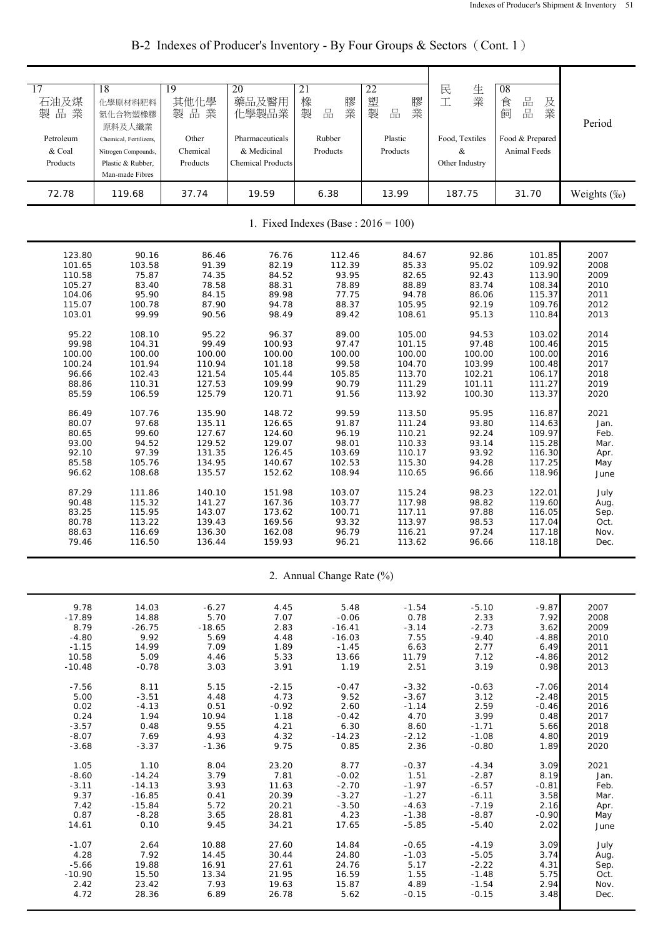| 17                        | 18                     | 19               | 20                       | 21                                      | 22                 | 民                  | 08               |              |
|---------------------------|------------------------|------------------|--------------------------|-----------------------------------------|--------------------|--------------------|------------------|--------------|
| 石油及煤                      | 化學原材料肥料                | 其他化學             | 藥品及醫用                    | 橡                                       | 塑<br>膠             | 生業<br>工            | 食                |              |
| 製品業                       | 氮化合物塑橡膠                | 製品業              | 化學製品業                    | 膠業<br>製<br>品                            | 業<br>製<br>品        |                    | 品品<br>及業<br>飼    |              |
|                           | 原料及人纖業                 |                  |                          |                                         |                    |                    |                  | Period       |
|                           |                        |                  |                          |                                         |                    |                    |                  |              |
| Petroleum                 | Chemical, Fertilizers, | Other            | Pharmaceuticals          | Rubber                                  | Plastic            | Food, Textiles     | Food & Prepared  |              |
| & Coal                    | Nitrogen Compounds,    | Chemical         | & Medicinal              | Products                                | Products           | &                  | Animal Feeds     |              |
| Products                  | Plastic & Rubber,      | Products         | <b>Chemical Products</b> |                                         |                    | Other Industry     |                  |              |
|                           | Man-made Fibres        |                  |                          |                                         |                    |                    |                  |              |
| 72.78                     | 119.68                 | 37.74            | 19.59                    | 6.38                                    | 13.99              | 187.75             | 31.70            | Weights (%)  |
|                           |                        |                  |                          |                                         |                    |                    |                  |              |
|                           |                        |                  |                          |                                         |                    |                    |                  |              |
|                           |                        |                  |                          | 1. Fixed Indexes (Base : $2016 = 100$ ) |                    |                    |                  |              |
|                           |                        |                  |                          |                                         |                    |                    |                  |              |
| 123.80                    | 90.16                  | 86.46            | 76.76                    | 112.46                                  | 84.67              | 92.86              | 101.85           | 2007         |
| 101.65                    | 103.58                 | 91.39            | 82.19                    | 112.39                                  | 85.33              | 95.02              | 109.92           | 2008         |
| 110.58                    | 75.87                  | 74.35            | 84.52                    | 93.95                                   | 82.65              | 92.43              | 113.90           | 2009         |
| 105.27                    | 83.40                  | 78.58            | 88.31                    | 78.89                                   | 88.89              | 83.74              | 108.34           | 2010         |
| 104.06                    | 95.90                  | 84.15            | 89.98<br>94.78           | 77.75                                   | 94.78              | 86.06              | 115.37           | 2011         |
| 115.07<br>103.01          | 100.78<br>99.99        | 87.90<br>90.56   | 98.49                    | 88.37<br>89.42                          | 105.95<br>108.61   | 92.19<br>95.13     | 109.76<br>110.84 | 2012<br>2013 |
|                           |                        |                  |                          |                                         |                    |                    |                  |              |
| 95.22                     | 108.10                 | 95.22            | 96.37                    | 89.00                                   | 105.00             | 94.53              | 103.02           | 2014         |
| 99.98                     | 104.31                 | 99.49            | 100.93                   | 97.47                                   | 101.15             | 97.48              | 100.46           | 2015         |
| 100.00                    | 100.00                 | 100.00           | 100.00                   | 100.00                                  | 100.00             | 100.00             | 100.00           | 2016         |
| 100.24                    | 101.94                 | 110.94           | 101.18                   | 99.58                                   | 104.70             | 103.99             | 100.48           | 2017         |
| 96.66                     | 102.43                 | 121.54           | 105.44                   | 105.85                                  | 113.70             | 102.21             | 106.17           | 2018         |
| 88.86<br>85.59            | 110.31<br>106.59       | 127.53<br>125.79 | 109.99<br>120.71         | 90.79<br>91.56                          | 111.29<br>113.92   | 101.11<br>100.30   | 111.27<br>113.37 | 2019<br>2020 |
|                           |                        |                  |                          |                                         |                    |                    |                  |              |
| 86.49                     | 107.76                 | 135.90           | 148.72                   | 99.59                                   | 113.50             | 95.95              | 116.87           | 2021         |
| 80.07                     | 97.68                  | 135.11           | 126.65                   | 91.87                                   | 111.24             | 93.80              | 114.63           | Jan.         |
| 80.65                     | 99.60                  | 127.67           | 124.60                   | 96.19                                   | 110.21             | 92.24              | 109.97           | Feb.         |
| 93.00                     | 94.52                  | 129.52           | 129.07                   | 98.01                                   | 110.33             | 93.14              | 115.28           | Mar.         |
| 92.10                     | 97.39                  | 131.35           | 126.45                   | 103.69                                  | 110.17             | 93.92              | 116.30           | Apr.         |
| 85.58<br>96.62            | 105.76<br>108.68       | 134.95<br>135.57 | 140.67<br>152.62         | 102.53<br>108.94                        | 115.30<br>110.65   | 94.28<br>96.66     | 117.25<br>118.96 | May          |
|                           |                        |                  |                          |                                         |                    |                    |                  | June         |
| 87.29                     | 111.86                 | 140.10           | 151.98                   | 103.07                                  | 115.24             | 98.23              | 122.01           | July         |
| 90.48                     | 115.32                 | 141.27           | 167.36                   | 103.77                                  | 117.98             | 98.82              | 119.60           | Aug.         |
| 83.25                     | 115.95                 | 143.07           | 173.62                   | 100.71                                  | 117.11             | 97.88              | 116.05           | Sep.         |
| 80.78                     | 113.22                 | 139.43           | 169.56                   | 93.32                                   | 113.97             | 98.53              | 117.04           | Oct.         |
| 88.63                     | 116.69                 | 136.30           | 162.08                   | 96.79                                   | 116.21             | 97.24              | 117.18           | Nov.         |
| 79.46                     | 116.50                 | 136.44           | 159.93                   | 96.21                                   | 113.62             | 96.66              | 118.18           | Dec.         |
| 2. Annual Change Rate (%) |                        |                  |                          |                                         |                    |                    |                  |              |
|                           |                        |                  |                          |                                         |                    |                    |                  |              |
| 9.78                      | 14.03                  | $-6.27$          | 4.45                     | 5.48                                    | $-1.54$            | $-5.10$            | $-9.87$          | 2007         |
| $-17.89$                  | 14.88                  | 5.70             | 7.07                     | $-0.06$                                 | 0.78               | 2.33               | 7.92             | 2008         |
| 8.79                      | $-26.75$               | $-18.65$         | 2.83                     | $-16.41$                                | $-3.14$            | $-2.73$            | 3.62             | 2009         |
| $-4.80$                   | 9.92                   | 5.69             | 4.48                     | $-16.03$                                | 7.55               | $-9.40$            | $-4.88$          | 2010         |
| $-1.15$                   | 14.99                  | 7.09             | 1.89                     | $-1.45$                                 | 6.63               | 2.77               | 6.49             | 2011         |
| 10.58                     | 5.09                   | 4.46             | 5.33                     | 13.66                                   | 11.79              | 7.12               | $-4.86$          | 2012         |
| $-10.48$                  | $-0.78$                | 3.03             | 3.91                     | 1.19                                    | 2.51               | 3.19               | 0.98             | 2013         |
| $-7.56$                   | 8.11                   | 5.15             | $-2.15$                  | $-0.47$                                 | $-3.32$            | $-0.63$            | $-7.06$          | 2014         |
| 5.00                      | $-3.51$                | 4.48             | 4.73                     | 9.52                                    | $-3.67$            | 3.12               | $-2.48$          | 2015         |
| 0.02                      | $-4.13$                | 0.51             | $-0.92$                  | 2.60                                    | $-1.14$            | 2.59               | $-0.46$          | 2016         |
| 0.24                      | 1.94                   | 10.94            | 1.18                     | $-0.42$                                 | 4.70               | 3.99               | 0.48             | 2017         |
| $-3.57$                   | 0.48                   | 9.55             | 4.21                     | 6.30                                    | 8.60               | $-1.71$            | 5.66             | 2018         |
| $-8.07$                   | 7.69                   | 4.93             | 4.32                     | $-14.23$                                | $-2.12$            | $-1.08$            | 4.80             | 2019         |
| $-3.68$                   | $-3.37$                | $-1.36$          | 9.75                     | 0.85                                    | 2.36               | $-0.80$            | 1.89             | 2020         |
| 1.05                      | 1.10                   | 8.04             | 23.20                    | 8.77                                    | $-0.37$            | $-4.34$            | 3.09             | 2021         |
| $-8.60$                   | $-14.24$               | 3.79             | 7.81                     | $-0.02$                                 | 1.51               | $-2.87$            | 8.19             | Jan.         |
| $-3.11$                   | $-14.13$               | 3.93             | 11.63                    | $-2.70$                                 | $-1.97$            | $-6.57$            | $-0.81$          | Feb.         |
| 9.37                      | $-16.85$               | 0.41             | 20.39                    | $-3.27$                                 | $-1.27$            | $-6.11$            | 3.58             | Mar.         |
| 7.42                      | $-15.84$               | 5.72             | 20.21                    | $-3.50$                                 | $-4.63$            | $-7.19$            | 2.16             | Apr.         |
| 0.87<br>14.61             | $-8.28$<br>0.10        | 3.65<br>9.45     | 28.81<br>34.21           | 4.23<br>17.65                           | $-1.38$<br>$-5.85$ | $-8.87$<br>$-5.40$ | $-0.90$<br>2.02  | May          |
|                           |                        |                  |                          |                                         |                    |                    |                  | June         |
| $-1.07$                   | 2.64                   | 10.88            | 27.60                    | 14.84                                   | $-0.65$            | $-4.19$            | 3.09             | July         |
| 4.28                      | 7.92                   | 14.45            | 30.44                    | 24.80                                   | $-1.03$            | $-5.05$            | 3.74             | Aug.         |
| $-5.66$                   | 19.88                  | 16.91            | 27.61                    | 24.76                                   | 5.17               | $-2.22$            | 4.31             | Sep.         |
| $-10.90$                  | 15.50                  | 13.34            | 21.95                    | 16.59                                   | 1.55               | $-1.48$            | 5.75             | Oct.         |
| 2.42<br>4.72              | 23.42<br>28.36         | 7.93<br>6.89     | 19.63<br>26.78           | 15.87<br>5.62                           | 4.89<br>$-0.15$    | $-1.54$<br>$-0.15$ | 2.94<br>3.48     | Nov.<br>Dec. |
|                           |                        |                  |                          |                                         |                    |                    |                  |              |

B-2 Indexes of Producer's Inventory - By Four Groups & Sectors (Cont. 1)